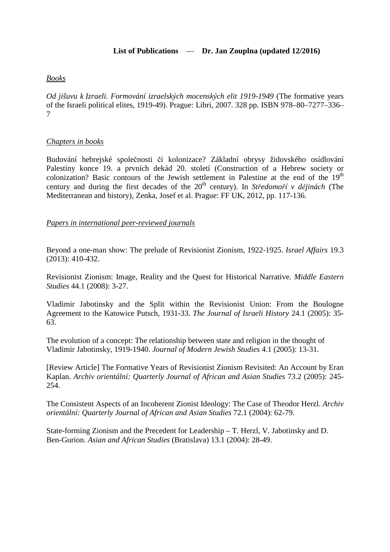# **List of Publications** — **Dr. Jan Zouplna (updated 12/2016)**

## *Books*

*Od jišuvu k Izraeli. Formování izraelských mocenských elit 1919-1949* (The formative years of the Israeli political elites, 1919-49). Prague: Libri, 2007. 328 pp. ISBN 978–80–7277–336– 7

## *Chapters in books*

Budování hebrejské společnosti či kolonizace? Základní obrysy židovského osídlování Palestiny konce 19. a prvních dekád 20. století (Construction of a Hebrew society or colonization? Basic contours of the Jewish settlement in Palestine at the end of the  $19<sup>th</sup>$ century and during the first decades of the  $20<sup>th</sup>$  century). In *Středomoří v dějinách* (The Mediterranean and history), Zenka, Josef et al. Prague: FF UK, 2012, pp. 117-136.

*Papers in international peer-reviewed journals*

Beyond a one-man show: The prelude of Revisionist Zionism, 1922-1925. *Israel Affairs* 19.3 (2013): 410-432.

Revisionist Zionism: Image, Reality and the Quest for Historical Narrative. *Middle Eastern Studies* 44.1 (2008): 3-27.

Vladimir Jabotinsky and the Split within the Revisionist Union: From the Boulogne Agreement to the Katowice Putsch, 1931-33. *The Journal of Israeli History* 24.1 (2005): 35- 63.

The evolution of a concept: The relationship between state and religion in the thought of Vladimir Jabotinsky, 1919-1940. *Journal of Modern Jewish Studies* 4.1 (2005): 13-31.

[Review Article] The Formative Years of Revisionist Zionism Revisited: An Account by Eran Kaplan. *Archiv orientální: Quarterly Journal of African and Asian Studies* 73.2 (2005): 245- 254.

The Consistent Aspects of an Incoherent Zionist Ideology: The Case of Theodor Herzl. *Archiv orientální: Quarterly Journal of African and Asian Studies* 72.1 (2004): 62-79.

State-forming Zionism and the Precedent for Leadership – T. Herzl, V. Jabotinsky and D. Ben-Gurion. *Asian and African Studies* (Bratislava) 13.1 (2004): 28-49.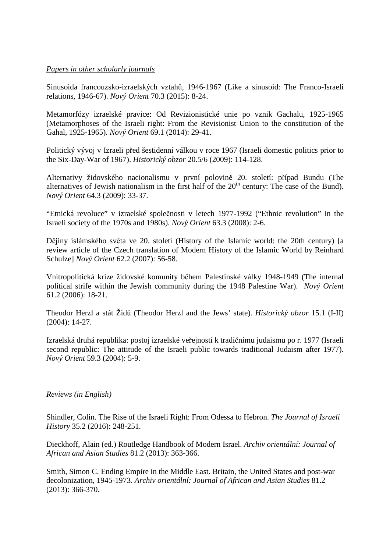# *Papers in other scholarly journals*

Sinusoida francouzsko-izraelských vztahů, 1946-1967 (Like a sinusoid: The Franco-Israeli relations, 1946-67). *Nový Orient* 70.3 (2015): 8-24.

Metamorfózy izraelské pravice: Od Revizionistické unie po vznik Gachalu, 1925-1965 (Metamorphoses of the Israeli right: From the Revisionist Union to the constitution of the Gahal, 1925-1965). *Nový Orient* 69.1 (2014): 29-41.

Politický vývoj v Izraeli před šestidenní válkou v roce 1967 (Israeli domestic politics prior to the Six-Day-War of 1967). *Historický obzor* 20.5/6 (2009): 114-128.

Alternativy židovského nacionalismu v první polovině 20. století: případ Bundu (The alternatives of Jewish nationalism in the first half of the  $20<sup>th</sup>$  century: The case of the Bund). *Nový Orient* 64.3 (2009): 33-37.

"Etnická revoluce" v izraelské společnosti v letech 1977-1992 ("Ethnic revolution" in the Israeli society of the 1970s and 1980s). *Nový Orient* 63.3 (2008): 2-6.

Dějiny islámského světa ve 20. století (History of the Islamic world: the 20th century) [a review article of the Czech translation of Modern History of the Islamic World by Reinhard Schulze] *Nový Orient* 62.2 (2007): 56-58.

Vnitropolitická krize židovské komunity během Palestinské války 1948-1949 (The internal political strife within the Jewish community during the 1948 Palestine War). *Nový Orient*  61.2 (2006): 18-21.

Theodor Herzl a stát Židů (Theodor Herzl and the Jews' state). *Historický obzor* 15.1 (I-II) (2004): 14-27.

Izraelská druhá republika: postoj izraelské veřejnosti k tradičnímu judaismu po r. 1977 (Israeli second republic: The attitude of the Israeli public towards traditional Judaism after 1977). *Nový Orient* 59.3 (2004): 5-9.

## *Reviews (in English)*

Shindler, Colin. The Rise of the Israeli Right: From Odessa to Hebron. *The Journal of Israeli History* 35.2 (2016): 248-251.

Dieckhoff, Alain (ed.) Routledge Handbook of Modern Israel. *Archiv orientální: Journal of African and Asian Studies* 81.2 (2013): 363-366.

Smith, Simon C. Ending Empire in the Middle East. Britain, the United States and post-war decolonization, 1945-1973. *Archiv orientální: Journal of African and Asian Studies* 81.2 (2013): 366-370.